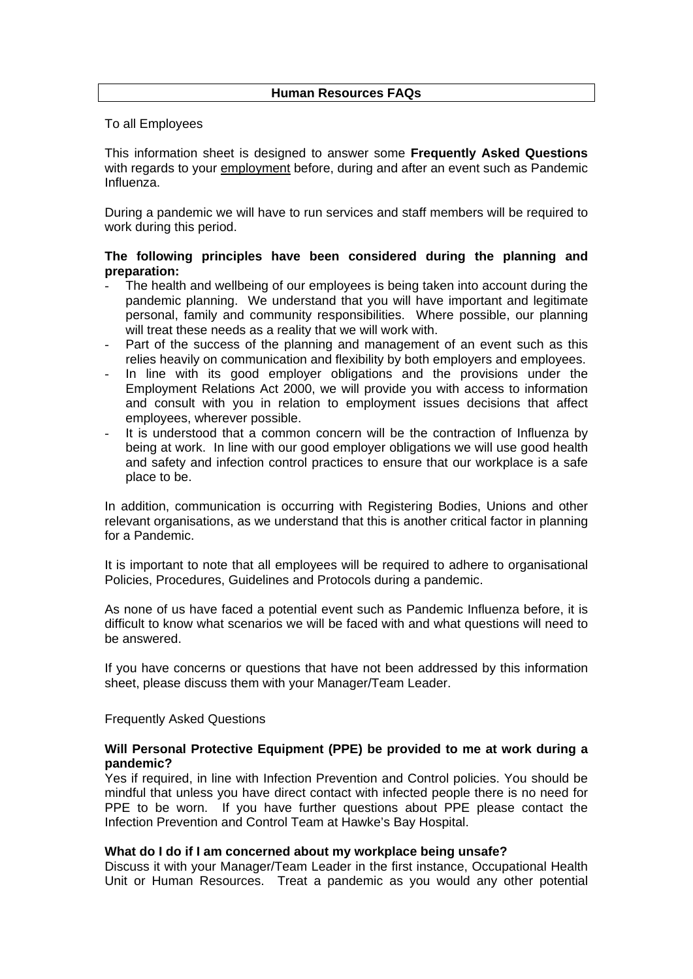# **Human Resources FAQs**

To all Employees

This information sheet is designed to answer some **Frequently Asked Questions** with regards to your employment before, during and after an event such as Pandemic Influenza.

During a pandemic we will have to run services and staff members will be required to work during this period.

# **The following principles have been considered during the planning and preparation:**

- The health and wellbeing of our employees is being taken into account during the pandemic planning. We understand that you will have important and legitimate personal, family and community responsibilities. Where possible, our planning will treat these needs as a reality that we will work with.
- Part of the success of the planning and management of an event such as this relies heavily on communication and flexibility by both employers and employees.
- In line with its good employer obligations and the provisions under the Employment Relations Act 2000, we will provide you with access to information and consult with you in relation to employment issues decisions that affect employees, wherever possible.
- It is understood that a common concern will be the contraction of Influenza by being at work. In line with our good employer obligations we will use good health and safety and infection control practices to ensure that our workplace is a safe place to be.

In addition, communication is occurring with Registering Bodies, Unions and other relevant organisations, as we understand that this is another critical factor in planning for a Pandemic.

It is important to note that all employees will be required to adhere to organisational Policies, Procedures, Guidelines and Protocols during a pandemic.

As none of us have faced a potential event such as Pandemic Influenza before, it is difficult to know what scenarios we will be faced with and what questions will need to be answered.

If you have concerns or questions that have not been addressed by this information sheet, please discuss them with your Manager/Team Leader.

### Frequently Asked Questions

## **Will Personal Protective Equipment (PPE) be provided to me at work during a pandemic?**

Yes if required, in line with Infection Prevention and Control policies. You should be mindful that unless you have direct contact with infected people there is no need for PPE to be worn. If you have further questions about PPE please contact the Infection Prevention and Control Team at Hawke's Bay Hospital.

### **What do I do if I am concerned about my workplace being unsafe?**

Discuss it with your Manager/Team Leader in the first instance, Occupational Health Unit or Human Resources. Treat a pandemic as you would any other potential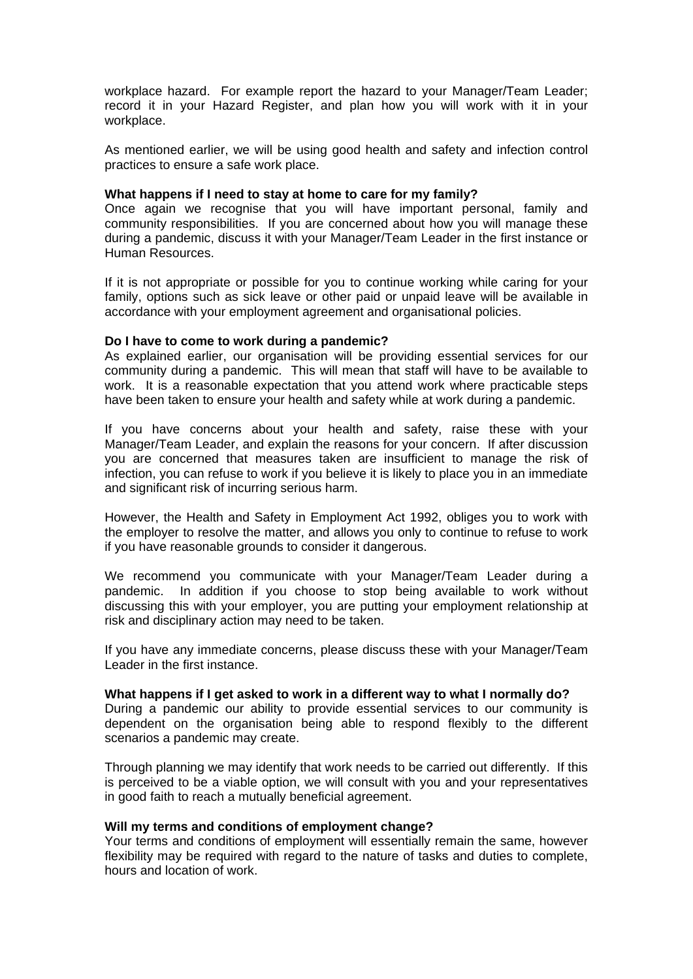workplace hazard. For example report the hazard to your Manager/Team Leader; record it in your Hazard Register, and plan how you will work with it in your workplace.

As mentioned earlier, we will be using good health and safety and infection control practices to ensure a safe work place.

#### **What happens if I need to stay at home to care for my family?**

Once again we recognise that you will have important personal, family and community responsibilities. If you are concerned about how you will manage these during a pandemic, discuss it with your Manager/Team Leader in the first instance or Human Resources.

If it is not appropriate or possible for you to continue working while caring for your family, options such as sick leave or other paid or unpaid leave will be available in accordance with your employment agreement and organisational policies.

#### **Do I have to come to work during a pandemic?**

As explained earlier, our organisation will be providing essential services for our community during a pandemic. This will mean that staff will have to be available to work. It is a reasonable expectation that you attend work where practicable steps have been taken to ensure your health and safety while at work during a pandemic.

If you have concerns about your health and safety, raise these with your Manager/Team Leader, and explain the reasons for your concern. If after discussion you are concerned that measures taken are insufficient to manage the risk of infection, you can refuse to work if you believe it is likely to place you in an immediate and significant risk of incurring serious harm.

However, the Health and Safety in Employment Act 1992, obliges you to work with the employer to resolve the matter, and allows you only to continue to refuse to work if you have reasonable grounds to consider it dangerous.

We recommend you communicate with your Manager/Team Leader during a pandemic. In addition if you choose to stop being available to work without discussing this with your employer, you are putting your employment relationship at risk and disciplinary action may need to be taken.

If you have any immediate concerns, please discuss these with your Manager/Team Leader in the first instance.

#### **What happens if I get asked to work in a different way to what I normally do?**

During a pandemic our ability to provide essential services to our community is dependent on the organisation being able to respond flexibly to the different scenarios a pandemic may create.

Through planning we may identify that work needs to be carried out differently. If this is perceived to be a viable option, we will consult with you and your representatives in good faith to reach a mutually beneficial agreement.

### **Will my terms and conditions of employment change?**

Your terms and conditions of employment will essentially remain the same, however flexibility may be required with regard to the nature of tasks and duties to complete, hours and location of work.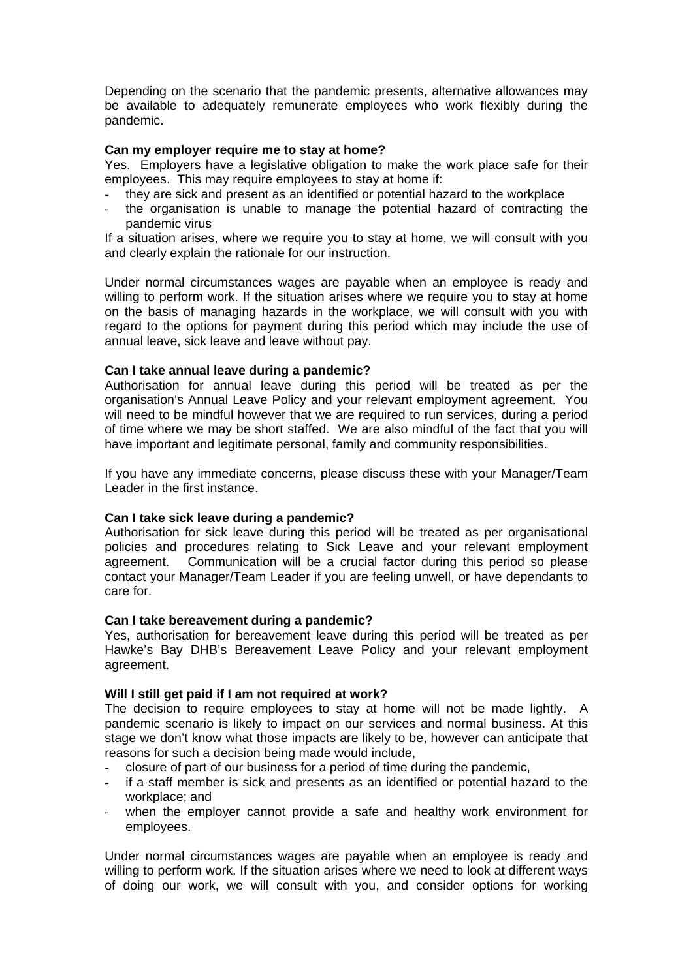Depending on the scenario that the pandemic presents, alternative allowances may be available to adequately remunerate employees who work flexibly during the pandemic.

# **Can my employer require me to stay at home?**

Yes. Employers have a legislative obligation to make the work place safe for their employees. This may require employees to stay at home if:

- they are sick and present as an identified or potential hazard to the workplace
- the organisation is unable to manage the potential hazard of contracting the pandemic virus

If a situation arises, where we require you to stay at home, we will consult with you and clearly explain the rationale for our instruction.

Under normal circumstances wages are payable when an employee is ready and willing to perform work. If the situation arises where we require you to stay at home on the basis of managing hazards in the workplace, we will consult with you with regard to the options for payment during this period which may include the use of annual leave, sick leave and leave without pay.

## **Can I take annual leave during a pandemic?**

Authorisation for annual leave during this period will be treated as per the organisation's Annual Leave Policy and your relevant employment agreement. You will need to be mindful however that we are required to run services, during a period of time where we may be short staffed. We are also mindful of the fact that you will have important and legitimate personal, family and community responsibilities.

If you have any immediate concerns, please discuss these with your Manager/Team Leader in the first instance.

### **Can I take sick leave during a pandemic?**

Authorisation for sick leave during this period will be treated as per organisational policies and procedures relating to Sick Leave and your relevant employment agreement. Communication will be a crucial factor during this period so please contact your Manager/Team Leader if you are feeling unwell, or have dependants to care for.

### **Can I take bereavement during a pandemic?**

Yes, authorisation for bereavement leave during this period will be treated as per Hawke's Bay DHB's Bereavement Leave Policy and your relevant employment agreement.

### **Will I still get paid if I am not required at work?**

The decision to require employees to stay at home will not be made lightly. A pandemic scenario is likely to impact on our services and normal business. At this stage we don't know what those impacts are likely to be, however can anticipate that reasons for such a decision being made would include,

- closure of part of our business for a period of time during the pandemic,
- if a staff member is sick and presents as an identified or potential hazard to the workplace; and
- when the employer cannot provide a safe and healthy work environment for employees.

Under normal circumstances wages are payable when an employee is ready and willing to perform work. If the situation arises where we need to look at different ways of doing our work, we will consult with you, and consider options for working